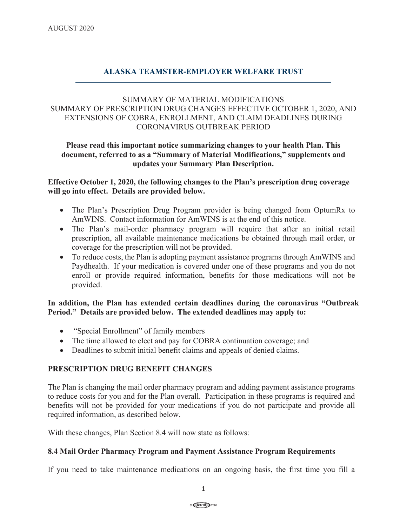# **ALASKA TEAMSTER-EMPLOYER WELFARE TRUST**

# SUMMARY OF MATERIAL MODIFICATIONS SUMMARY OF PRESCRIPTION DRUG CHANGES EFFECTIVE OCTOBER 1, 2020, AND EXTENSIONS OF COBRA, ENROLLMENT, AND CLAIM DEADLINES DURING CORONAVIRUS OUTBREAK PERIOD

## **Please read this important notice summarizing changes to your health Plan. This document, referred to as a "Summary of Material Modifications," supplements and updates your Summary Plan Description.**

## **Effective October 1, 2020, the following changes to the Plan's prescription drug coverage will go into effect. Details are provided below.**

- The Plan's Prescription Drug Program provider is being changed from OptumRx to AmWINS. Contact information for AmWINS is at the end of this notice.
- The Plan's mail-order pharmacy program will require that after an initial retail prescription, all available maintenance medications be obtained through mail order, or coverage for the prescription will not be provided.
- To reduce costs, the Plan is adopting payment assistance programs through AmWINS and Paydhealth. If your medication is covered under one of these programs and you do not enroll or provide required information, benefits for those medications will not be provided.

## **In addition, the Plan has extended certain deadlines during the coronavirus "Outbreak Period." Details are provided below. The extended deadlines may apply to:**

- "Special Enrollment" of family members
- The time allowed to elect and pay for COBRA continuation coverage; and
- Deadlines to submit initial benefit claims and appeals of denied claims.

# **PRESCRIPTION DRUG BENEFIT CHANGES**

The Plan is changing the mail order pharmacy program and adding payment assistance programs to reduce costs for you and for the Plan overall. Participation in these programs is required and benefits will not be provided for your medications if you do not participate and provide all required information, as described below.

With these changes, Plan Section 8.4 will now state as follows:

## **8.4 Mail Order Pharmacy Program and Payment Assistance Program Requirements**

If you need to take maintenance medications on an ongoing basis, the first time you fill a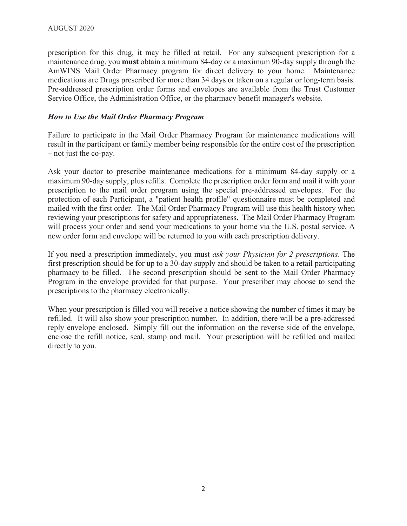prescription for this drug, it may be filled at retail. For any subsequent prescription for a maintenance drug, you **must** obtain a minimum 84-day or a maximum 90-day supply through the AmWINS Mail Order Pharmacy program for direct delivery to your home. Maintenance medications are Drugs prescribed for more than 34 days or taken on a regular or long-term basis. Pre-addressed prescription order forms and envelopes are available from the Trust Customer Service Office, the Administration Office, or the pharmacy benefit manager's website.

## *How to Use the Mail Order Pharmacy Program*

Failure to participate in the Mail Order Pharmacy Program for maintenance medications will result in the participant or family member being responsible for the entire cost of the prescription – not just the co-pay.

Ask your doctor to prescribe maintenance medications for a minimum 84-day supply or a maximum 90-day supply, plus refills. Complete the prescription order form and mail it with your prescription to the mail order program using the special pre-addressed envelopes. For the protection of each Participant, a "patient health profile" questionnaire must be completed and mailed with the first order. The Mail Order Pharmacy Program will use this health history when reviewing your prescriptions for safety and appropriateness. The Mail Order Pharmacy Program will process your order and send your medications to your home via the U.S. postal service. A new order form and envelope will be returned to you with each prescription delivery.

If you need a prescription immediately, you must *ask your Physician for 2 prescriptions*. The first prescription should be for up to a 30-day supply and should be taken to a retail participating pharmacy to be filled. The second prescription should be sent to the Mail Order Pharmacy Program in the envelope provided for that purpose. Your prescriber may choose to send the prescriptions to the pharmacy electronically.

When your prescription is filled you will receive a notice showing the number of times it may be refilled. It will also show your prescription number. In addition, there will be a pre-addressed reply envelope enclosed. Simply fill out the information on the reverse side of the envelope, enclose the refill notice, seal, stamp and mail. Your prescription will be refilled and mailed directly to you.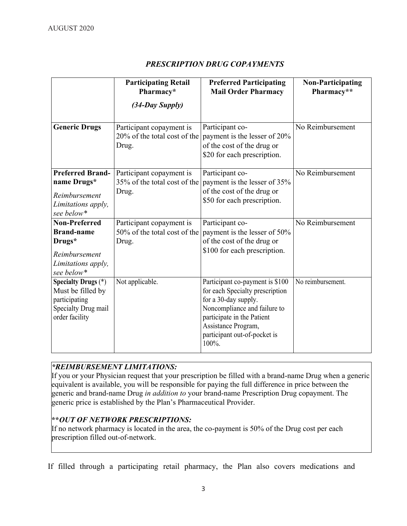|                                                                                                           | <b>Participating Retail</b><br>Pharmacy*                          | <b>Preferred Participating</b><br><b>Mail Order Pharmacy</b>                                                                                                                                                             | <b>Non-Participating</b><br>Pharmacy** |
|-----------------------------------------------------------------------------------------------------------|-------------------------------------------------------------------|--------------------------------------------------------------------------------------------------------------------------------------------------------------------------------------------------------------------------|----------------------------------------|
|                                                                                                           | (34-Day Supply)                                                   |                                                                                                                                                                                                                          |                                        |
| <b>Generic Drugs</b>                                                                                      | Participant copayment is<br>20% of the total cost of the<br>Drug. | Participant co-<br>payment is the lesser of 20%<br>of the cost of the drug or<br>\$20 for each prescription.                                                                                                             | No Reimbursement                       |
| <b>Preferred Brand-</b><br>name Drugs*<br>Reimbursement<br>Limitations apply,<br>see below*               | Participant copayment is<br>35% of the total cost of the<br>Drug. | Participant co-<br>payment is the lesser of 35%<br>of the cost of the drug or<br>\$50 for each prescription.                                                                                                             | No Reimbursement                       |
| <b>Non-Preferred</b><br><b>Brand-name</b><br>Drugs*<br>Reimbursement<br>Limitations apply,<br>see below*  | Participant copayment is<br>50% of the total cost of the<br>Drug. | Participant co-<br>payment is the lesser of 50%<br>of the cost of the drug or<br>\$100 for each prescription.                                                                                                            | No Reimbursement                       |
| <b>Specialty Drugs</b> (*)<br>Must be filled by<br>participating<br>Specialty Drug mail<br>order facility | Not applicable.                                                   | Participant co-payment is \$100<br>for each Specialty prescription<br>for a 30-day supply.<br>Noncompliance and failure to<br>participate in the Patient<br>Assistance Program,<br>participant out-of-pocket is<br>100%. | No reimbursement.                      |

# *PRESCRIPTION DRUG COPAYMENTS*

# *\*REIMBURSEMENT LIMITATIONS:*

If you or your Physician request that your prescription be filled with a brand-name Drug when a generic equivalent is available, you will be responsible for paying the full difference in price between the generic and brand-name Drug *in addition to* your brand-name Prescription Drug copayment. The generic price is established by the Plan's Pharmaceutical Provider.

# **\*\****OUT OF NETWORK PRESCRIPTIONS:*

If no network pharmacy is located in the area, the co-payment is 50% of the Drug cost per each prescription filled out-of-network.

If filled through a participating retail pharmacy, the Plan also covers medications and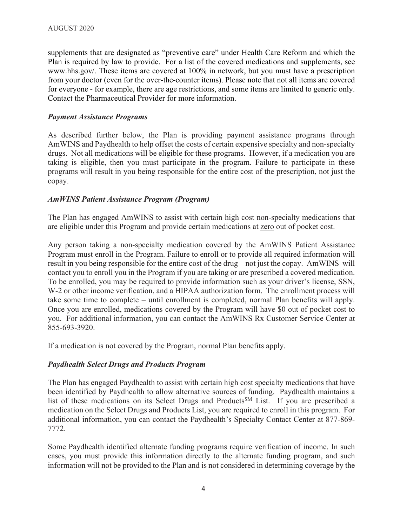supplements that are designated as "preventive care" under Health Care Reform and which the Plan is required by law to provide. For a list of the covered medications and supplements, see www.hhs.gov/. These items are covered at 100% in network, but you must have a prescription from your doctor (even for the over-the-counter items). Please note that not all items are covered for everyone - for example, there are age restrictions, and some items are limited to generic only. Contact the Pharmaceutical Provider for more information.

## *Payment Assistance Programs*

As described further below, the Plan is providing payment assistance programs through AmWINS and Paydhealth to help offset the costs of certain expensive specialty and non-specialty drugs. Not all medications will be eligible for these programs. However, if a medication you are taking is eligible, then you must participate in the program. Failure to participate in these programs will result in you being responsible for the entire cost of the prescription, not just the copay.

## *AmWINS Patient Assistance Program (Program)*

The Plan has engaged AmWINS to assist with certain high cost non-specialty medications that are eligible under this Program and provide certain medications at zero out of pocket cost.

Any person taking a non-specialty medication covered by the AmWINS Patient Assistance Program must enroll in the Program. Failure to enroll or to provide all required information will result in you being responsible for the entire cost of the drug – not just the copay. AmWINS will contact you to enroll you in the Program if you are taking or are prescribed a covered medication. To be enrolled, you may be required to provide information such as your driver's license, SSN, W-2 or other income verification, and a HIPAA authorization form. The enrollment process will take some time to complete – until enrollment is completed, normal Plan benefits will apply. Once you are enrolled, medications covered by the Program will have \$0 out of pocket cost to you. For additional information, you can contact the AmWINS Rx Customer Service Center at 855-693-3920.

If a medication is not covered by the Program, normal Plan benefits apply.

## *Paydhealth Select Drugs and Products Program*

The Plan has engaged Paydhealth to assist with certain high cost specialty medications that have been identified by Paydhealth to allow alternative sources of funding. Paydhealth maintains a list of these medications on its Select Drugs and Products<sup>SM</sup> List. If you are prescribed a medication on the Select Drugs and Products List, you are required to enroll in this program. For additional information, you can contact the Paydhealth's Specialty Contact Center at 877-869- 7772.

Some Paydhealth identified alternate funding programs require verification of income. In such cases, you must provide this information directly to the alternate funding program, and such information will not be provided to the Plan and is not considered in determining coverage by the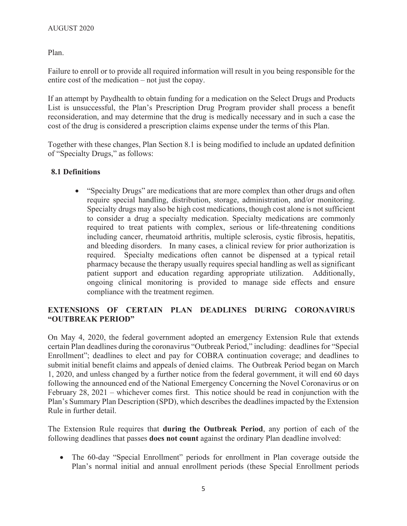Plan.

Failure to enroll or to provide all required information will result in you being responsible for the entire cost of the medication – not just the copay.

If an attempt by Paydhealth to obtain funding for a medication on the Select Drugs and Products List is unsuccessful, the Plan's Prescription Drug Program provider shall process a benefit reconsideration, and may determine that the drug is medically necessary and in such a case the cost of the drug is considered a prescription claims expense under the terms of this Plan.

Together with these changes, Plan Section 8.1 is being modified to include an updated definition of "Specialty Drugs," as follows:

# **8.1 Definitions**

• "Specialty Drugs" are medications that are more complex than other drugs and often require special handling, distribution, storage, administration, and/or monitoring. Specialty drugs may also be high cost medications, though cost alone is not sufficient to consider a drug a specialty medication. Specialty medications are commonly required to treat patients with complex, serious or life-threatening conditions including cancer, rheumatoid arthritis, multiple sclerosis, cystic fibrosis, hepatitis, and bleeding disorders. In many cases, a clinical review for prior authorization is required. Specialty medications often cannot be dispensed at a typical retail pharmacy because the therapy usually requires special handling as well as significant patient support and education regarding appropriate utilization. Additionally, ongoing clinical monitoring is provided to manage side effects and ensure compliance with the treatment regimen.

# **EXTENSIONS OF CERTAIN PLAN DEADLINES DURING CORONAVIRUS "OUTBREAK PERIOD"**

On May 4, 2020, the federal government adopted an emergency Extension Rule that extends certain Plan deadlines during the coronavirus "Outbreak Period," including: deadlines for "Special Enrollment"; deadlines to elect and pay for COBRA continuation coverage; and deadlines to submit initial benefit claims and appeals of denied claims. The Outbreak Period began on March 1, 2020, and unless changed by a further notice from the federal government, it will end 60 days following the announced end of the National Emergency Concerning the Novel Coronavirus or on February 28, 2021 – whichever comes first. This notice should be read in conjunction with the Plan's Summary Plan Description (SPD), which describes the deadlines impacted by the Extension Rule in further detail.

The Extension Rule requires that **during the Outbreak Period**, any portion of each of the following deadlines that passes **does not count** against the ordinary Plan deadline involved:

• The 60-day "Special Enrollment" periods for enrollment in Plan coverage outside the Plan's normal initial and annual enrollment periods (these Special Enrollment periods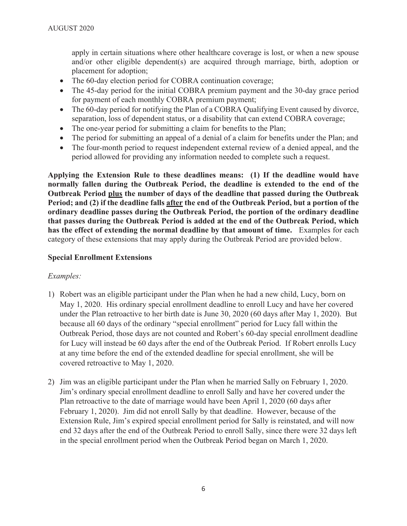apply in certain situations where other healthcare coverage is lost, or when a new spouse and/or other eligible dependent(s) are acquired through marriage, birth, adoption or placement for adoption;

- The 60-day election period for COBRA continuation coverage;
- The 45-day period for the initial COBRA premium payment and the 30-day grace period for payment of each monthly COBRA premium payment;
- The 60-day period for notifying the Plan of a COBRA Qualifying Event caused by divorce, separation, loss of dependent status, or a disability that can extend COBRA coverage;
- The one-year period for submitting a claim for benefits to the Plan;
- The period for submitting an appeal of a denial of a claim for benefits under the Plan; and
- The four-month period to request independent external review of a denied appeal, and the period allowed for providing any information needed to complete such a request.

**Applying the Extension Rule to these deadlines means: (1) If the deadline would have normally fallen during the Outbreak Period, the deadline is extended to the end of the Outbreak Period plus the number of days of the deadline that passed during the Outbreak Period; and (2) if the deadline falls after the end of the Outbreak Period, but a portion of the ordinary deadline passes during the Outbreak Period, the portion of the ordinary deadline that passes during the Outbreak Period is added at the end of the Outbreak Period, which has the effect of extending the normal deadline by that amount of time.** Examples for each category of these extensions that may apply during the Outbreak Period are provided below.

## **Special Enrollment Extensions**

## *Examples:*

- 1) Robert was an eligible participant under the Plan when he had a new child, Lucy, born on May 1, 2020. His ordinary special enrollment deadline to enroll Lucy and have her covered under the Plan retroactive to her birth date is June 30, 2020 (60 days after May 1, 2020). But because all 60 days of the ordinary "special enrollment" period for Lucy fall within the Outbreak Period, those days are not counted and Robert's 60-day special enrollment deadline for Lucy will instead be 60 days after the end of the Outbreak Period. If Robert enrolls Lucy at any time before the end of the extended deadline for special enrollment, she will be covered retroactive to May 1, 2020.
- 2) Jim was an eligible participant under the Plan when he married Sally on February 1, 2020. Jim's ordinary special enrollment deadline to enroll Sally and have her covered under the Plan retroactive to the date of marriage would have been April 1, 2020 (60 days after February 1, 2020). Jim did not enroll Sally by that deadline. However, because of the Extension Rule, Jim's expired special enrollment period for Sally is reinstated, and will now end 32 days after the end of the Outbreak Period to enroll Sally, since there were 32 days left in the special enrollment period when the Outbreak Period began on March 1, 2020.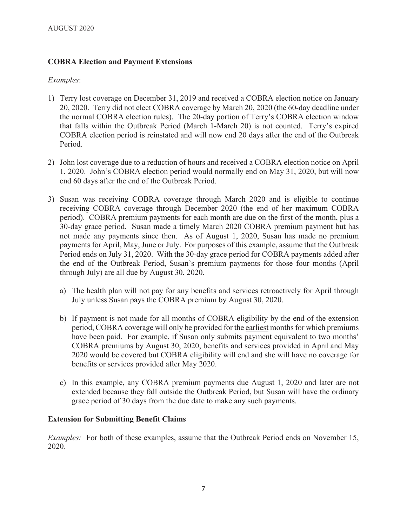# **COBRA Election and Payment Extensions**

## *Examples*:

- 1) Terry lost coverage on December 31, 2019 and received a COBRA election notice on January 20, 2020. Terry did not elect COBRA coverage by March 20, 2020 (the 60-day deadline under the normal COBRA election rules). The 20-day portion of Terry's COBRA election window that falls within the Outbreak Period (March 1-March 20) is not counted. Terry's expired COBRA election period is reinstated and will now end 20 days after the end of the Outbreak Period.
- 2) John lost coverage due to a reduction of hours and received a COBRA election notice on April 1, 2020. John's COBRA election period would normally end on May 31, 2020, but will now end 60 days after the end of the Outbreak Period.
- 3) Susan was receiving COBRA coverage through March 2020 and is eligible to continue receiving COBRA coverage through December 2020 (the end of her maximum COBRA period). COBRA premium payments for each month are due on the first of the month, plus a 30-day grace period. Susan made a timely March 2020 COBRA premium payment but has not made any payments since then. As of August 1, 2020, Susan has made no premium payments for April, May, June or July. For purposes of this example, assume that the Outbreak Period ends on July 31, 2020. With the 30-day grace period for COBRA payments added after the end of the Outbreak Period, Susan's premium payments for those four months (April through July) are all due by August 30, 2020.
	- a) The health plan will not pay for any benefits and services retroactively for April through July unless Susan pays the COBRA premium by August 30, 2020.
	- b) If payment is not made for all months of COBRA eligibility by the end of the extension period, COBRA coverage will only be provided for the earliest months for which premiums have been paid. For example, if Susan only submits payment equivalent to two months' COBRA premiums by August 30, 2020, benefits and services provided in April and May 2020 would be covered but COBRA eligibility will end and she will have no coverage for benefits or services provided after May 2020.
	- c) In this example, any COBRA premium payments due August 1, 2020 and later are not extended because they fall outside the Outbreak Period, but Susan will have the ordinary grace period of 30 days from the due date to make any such payments.

## **Extension for Submitting Benefit Claims**

*Examples:* For both of these examples, assume that the Outbreak Period ends on November 15, 2020.